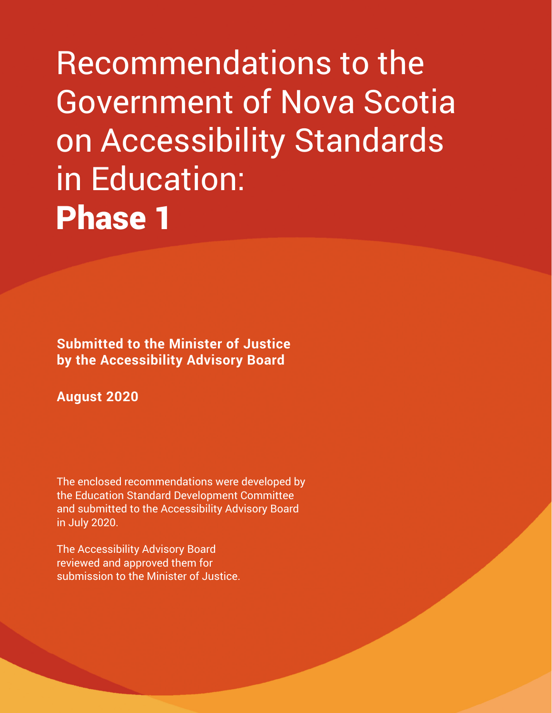Recommendations to the Government of Nova Scotia on Accessibility Standards in Education: Phase 1

**Submitted to the Minister of Justice by the Accessibility Advisory Board**

**August 2020**

The enclosed recommendations were developed by the Education Standard Development Committee and submitted to the Accessibility Advisory Board in July 2020.

The Accessibility Advisory Board reviewed and approved them for submission to the Minister of Justice.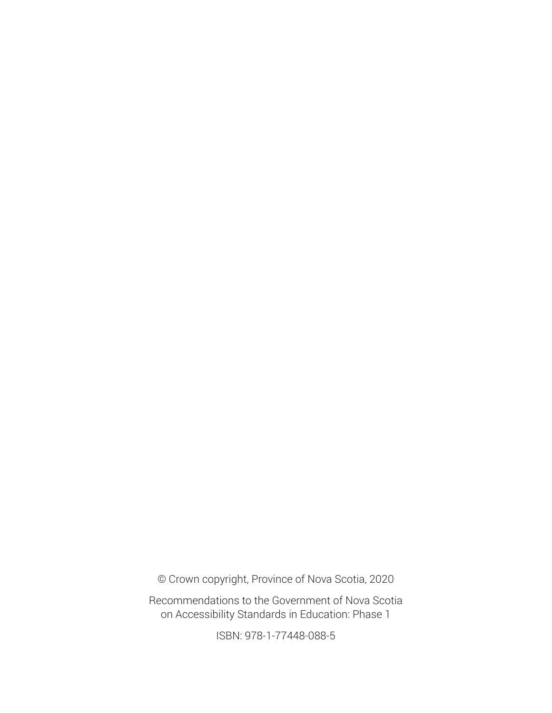© Crown copyright, Province of Nova Scotia, 2020

Recommendations to the Government of Nova Scotia on Accessibility Standards in Education: Phase 1

ISBN: 978-1-77448-088-5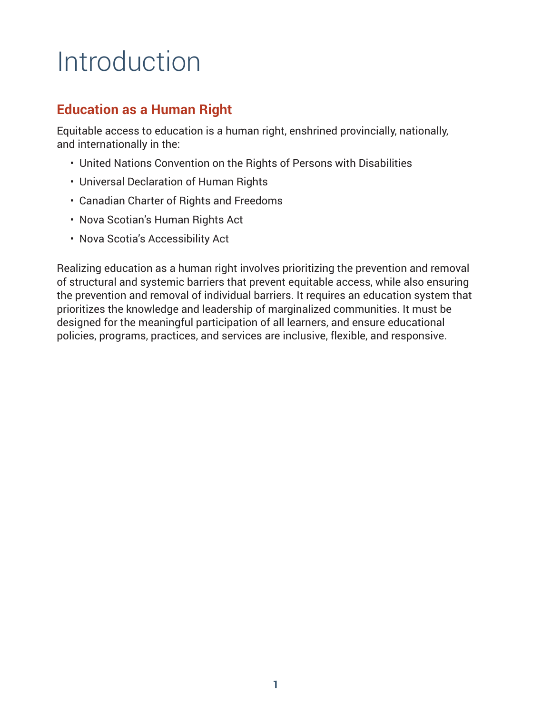# Introduction

## **Education as a Human Right**

Equitable access to education is a human right, enshrined provincially, nationally, and internationally in the:

- United Nations Convention on the Rights of Persons with Disabilities
- Universal Declaration of Human Rights
- Canadian Charter of Rights and Freedoms
- Nova Scotian's Human Rights Act
- Nova Scotia's Accessibility Act

Realizing education as a human right involves prioritizing the prevention and removal of structural and systemic barriers that prevent equitable access, while also ensuring the prevention and removal of individual barriers. It requires an education system that prioritizes the knowledge and leadership of marginalized communities. It must be designed for the meaningful participation of all learners, and ensure educational policies, programs, practices, and services are inclusive, flexible, and responsive.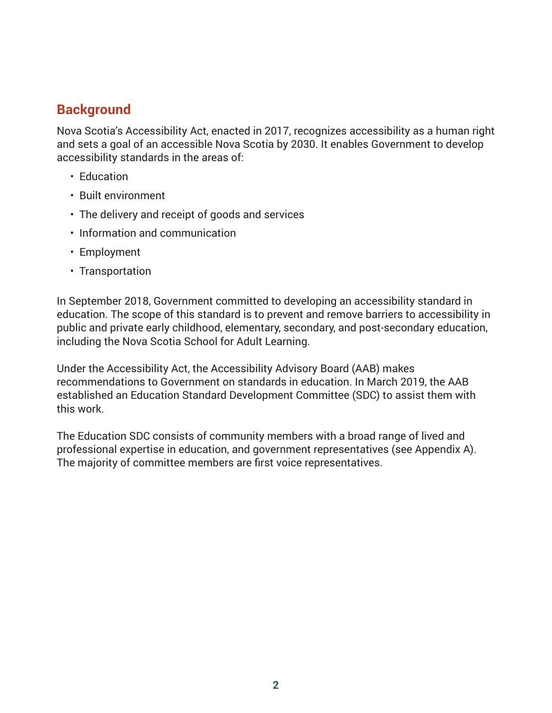## **Background**

Nova Scotia's Accessibility Act, enacted in 2017, recognizes accessibility as a human right and sets a goal of an accessible Nova Scotia by 2030. It enables Government to develop accessibility standards in the areas of:

- Education
- Built environment
- The delivery and receipt of goods and services
- Information and communication
- Employment
- Transportation

In September 2018, Government committed to developing an accessibility standard in education. The scope of this standard is to prevent and remove barriers to accessibility in public and private early childhood, elementary, secondary, and post-secondary education, including the Nova Scotia School for Adult Learning.

Under the Accessibility Act, the Accessibility Advisory Board (AAB) makes recommendations to Government on standards in education. In March 2019, the AAB established an Education Standard Development Committee (SDC) to assist them with this work.

The Education SDC consists of community members with a broad range of lived and professional expertise in education, and government representatives (see Appendix A). The majority of committee members are first voice representatives.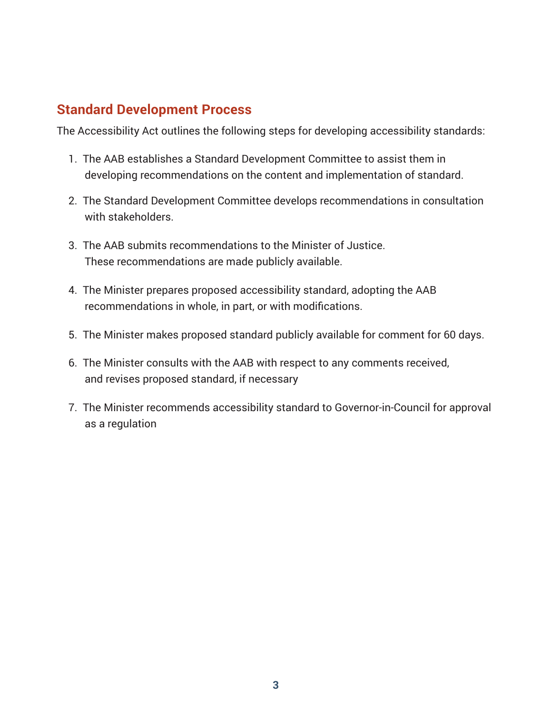## **Standard Development Process**

The Accessibility Act outlines the following steps for developing accessibility standards:

- 1. The AAB establishes a Standard Development Committee to assist them in developing recommendations on the content and implementation of standard.
- 2. The Standard Development Committee develops recommendations in consultation with stakeholders.
- 3. The AAB submits recommendations to the Minister of Justice. These recommendations are made publicly available.
- 4. The Minister prepares proposed accessibility standard, adopting the AAB recommendations in whole, in part, or with modifications.
- 5. The Minister makes proposed standard publicly available for comment for 60 days.
- 6. The Minister consults with the AAB with respect to any comments received, and revises proposed standard, if necessary
- 7. The Minister recommends accessibility standard to Governor-in-Council for approval as a regulation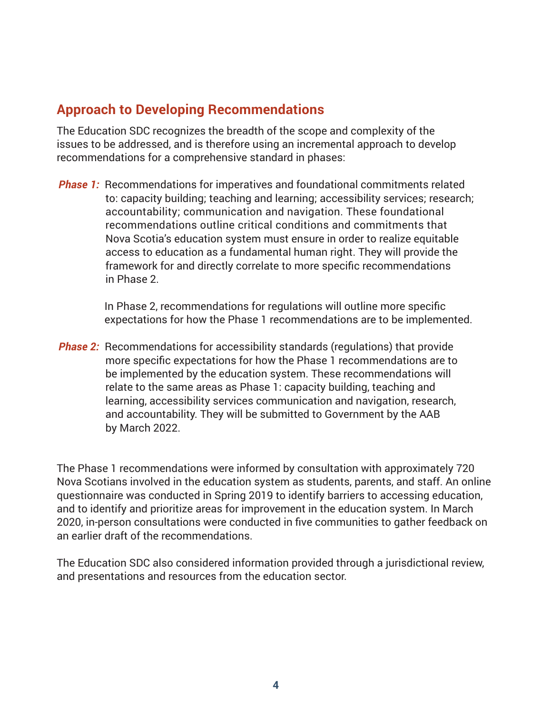## **Approach to Developing Recommendations**

The Education SDC recognizes the breadth of the scope and complexity of the issues to be addressed, and is therefore using an incremental approach to develop recommendations for a comprehensive standard in phases:

*Phase 1:* Recommendations for imperatives and foundational commitments related to: capacity building; teaching and learning; accessibility services; research; accountability; communication and navigation. These foundational recommendations outline critical conditions and commitments that Nova Scotia's education system must ensure in order to realize equitable access to education as a fundamental human right. They will provide the framework for and directly correlate to more specific recommendations in Phase 2.

> In Phase 2, recommendations for regulations will outline more specific expectations for how the Phase 1 recommendations are to be implemented.

*Phase 2:* Recommendations for accessibility standards (regulations) that provide more specific expectations for how the Phase 1 recommendations are to be implemented by the education system. These recommendations will relate to the same areas as Phase 1: capacity building, teaching and learning, accessibility services communication and navigation, research, and accountability. They will be submitted to Government by the AAB by March 2022.

The Phase 1 recommendations were informed by consultation with approximately 720 Nova Scotians involved in the education system as students, parents, and staff. An online questionnaire was conducted in Spring 2019 to identify barriers to accessing education, and to identify and prioritize areas for improvement in the education system. In March 2020, in-person consultations were conducted in five communities to gather feedback on an earlier draft of the recommendations.

The Education SDC also considered information provided through a jurisdictional review, and presentations and resources from the education sector.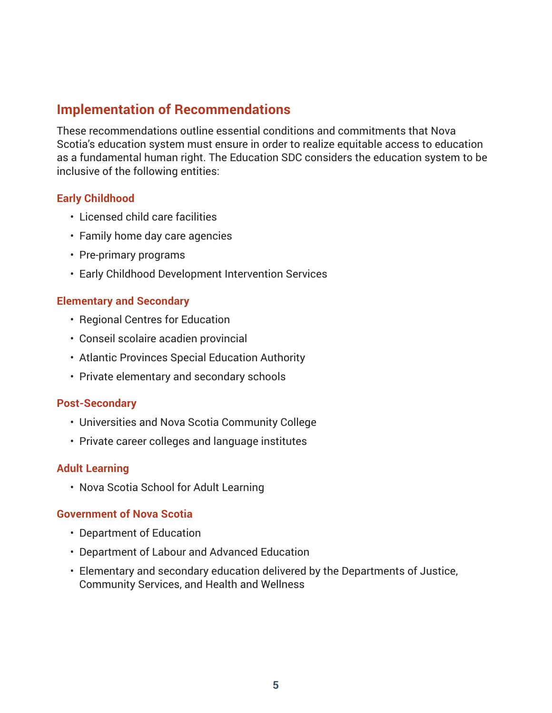## **Implementation of Recommendations**

These recommendations outline essential conditions and commitments that Nova Scotia's education system must ensure in order to realize equitable access to education as a fundamental human right. The Education SDC considers the education system to be inclusive of the following entities:

#### **Early Childhood**

- Licensed child care facilities
- Family home day care agencies
- Pre-primary programs
- Early Childhood Development Intervention Services

#### **Elementary and Secondary**

- Regional Centres for Education
- Conseil scolaire acadien provincial
- Atlantic Provinces Special Education Authority
- Private elementary and secondary schools

#### **Post-Secondary**

- Universities and Nova Scotia Community College
- Private career colleges and language institutes

#### **Adult Learning**

• Nova Scotia School for Adult Learning

#### **Government of Nova Scotia**

- Department of Education
- Department of Labour and Advanced Education
- Elementary and secondary education delivered by the Departments of Justice, Community Services, and Health and Wellness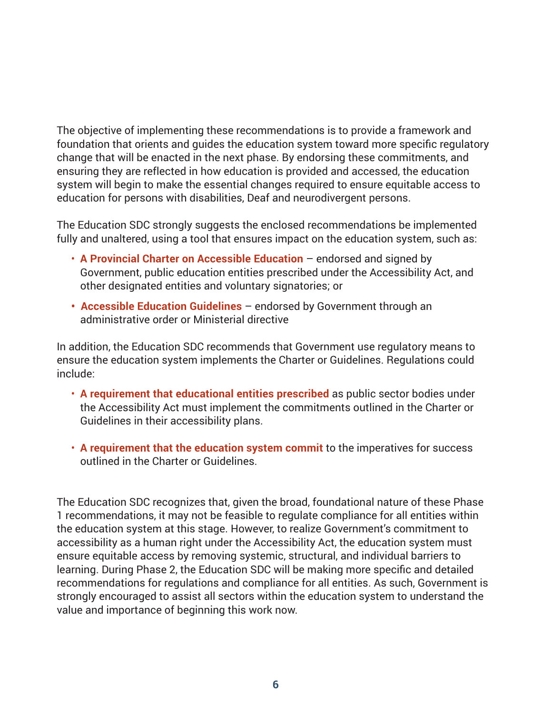The objective of implementing these recommendations is to provide a framework and foundation that orients and guides the education system toward more specific regulatory change that will be enacted in the next phase. By endorsing these commitments, and ensuring they are reflected in how education is provided and accessed, the education system will begin to make the essential changes required to ensure equitable access to education for persons with disabilities, Deaf and neurodivergent persons.

The Education SDC strongly suggests the enclosed recommendations be implemented fully and unaltered, using a tool that ensures impact on the education system, such as:

- **A Provincial Charter on Accessible Education** endorsed and signed by Government, public education entities prescribed under the Accessibility Act, and other designated entities and voluntary signatories; or
- **Accessible Education Guidelines** endorsed by Government through an administrative order or Ministerial directive

In addition, the Education SDC recommends that Government use regulatory means to ensure the education system implements the Charter or Guidelines. Regulations could include:

- **A requirement that educational entities prescribed** as public sector bodies under the Accessibility Act must implement the commitments outlined in the Charter or Guidelines in their accessibility plans.
- **A requirement that the education system commit** to the imperatives for success outlined in the Charter or Guidelines.

The Education SDC recognizes that, given the broad, foundational nature of these Phase 1 recommendations, it may not be feasible to regulate compliance for all entities within the education system at this stage. However, to realize Government's commitment to accessibility as a human right under the Accessibility Act, the education system must ensure equitable access by removing systemic, structural, and individual barriers to learning. During Phase 2, the Education SDC will be making more specific and detailed recommendations for regulations and compliance for all entities. As such, Government is strongly encouraged to assist all sectors within the education system to understand the value and importance of beginning this work now.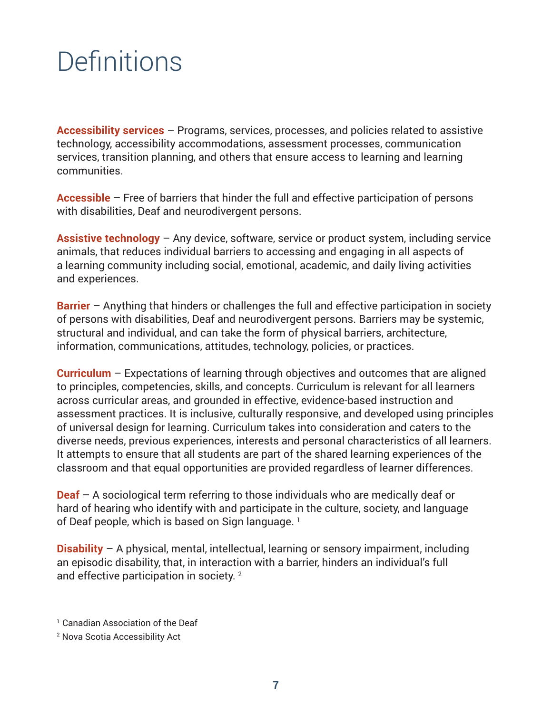# **Definitions**

**Accessibility services** – Programs, services, processes, and policies related to assistive technology, accessibility accommodations, assessment processes, communication services, transition planning, and others that ensure access to learning and learning communities.

**Accessible** – Free of barriers that hinder the full and effective participation of persons with disabilities, Deaf and neurodivergent persons.

**Assistive technology** – Any device, software, service or product system, including service animals, that reduces individual barriers to accessing and engaging in all aspects of a learning community including social, emotional, academic, and daily living activities and experiences.

**Barrier** – Anything that hinders or challenges the full and effective participation in society of persons with disabilities, Deaf and neurodivergent persons. Barriers may be systemic, structural and individual, and can take the form of physical barriers, architecture, information, communications, attitudes, technology, policies, or practices.

**Curriculum** – Expectations of learning through objectives and outcomes that are aligned to principles, competencies, skills, and concepts. Curriculum is relevant for all learners across curricular areas, and grounded in effective, evidence-based instruction and assessment practices. It is inclusive, culturally responsive, and developed using principles of universal design for learning. Curriculum takes into consideration and caters to the diverse needs, previous experiences, interests and personal characteristics of all learners. It attempts to ensure that all students are part of the shared learning experiences of the classroom and that equal opportunities are provided regardless of learner differences.

**Deaf** – A sociological term referring to those individuals who are medically deaf or hard of hearing who identify with and participate in the culture, society, and language of Deaf people, which is based on Sign language.<sup>1</sup>

**Disability** – A physical, mental, intellectual, learning or sensory impairment, including an episodic disability, that, in interaction with a barrier, hinders an individual's full and effective participation in society.<sup>2</sup>

<sup>1</sup> Canadian Association of the Deaf

<sup>2</sup> Nova Scotia Accessibility Act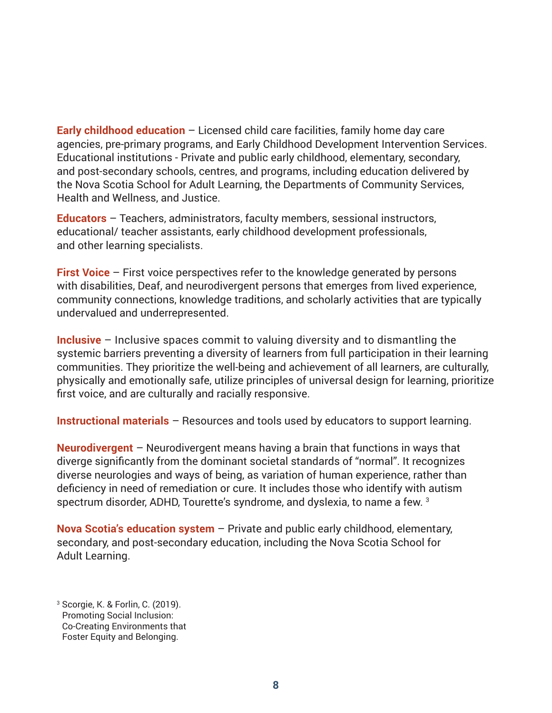**Early childhood education** – Licensed child care facilities, family home day care agencies, pre-primary programs, and Early Childhood Development Intervention Services. Educational institutions - Private and public early childhood, elementary, secondary, and post-secondary schools, centres, and programs, including education delivered by the Nova Scotia School for Adult Learning, the Departments of Community Services, Health and Wellness, and Justice.

**Educators** – Teachers, administrators, faculty members, sessional instructors, educational/ teacher assistants, early childhood development professionals, and other learning specialists.

**First Voice** – First voice perspectives refer to the knowledge generated by persons with disabilities, Deaf, and neurodivergent persons that emerges from lived experience, community connections, knowledge traditions, and scholarly activities that are typically undervalued and underrepresented.

**Inclusive** – Inclusive spaces commit to valuing diversity and to dismantling the systemic barriers preventing a diversity of learners from full participation in their learning communities. They prioritize the well-being and achievement of all learners, are culturally, physically and emotionally safe, utilize principles of universal design for learning, prioritize first voice, and are culturally and racially responsive.

**Instructional materials** – Resources and tools used by educators to support learning.

**Neurodivergent** – Neurodivergent means having a brain that functions in ways that diverge significantly from the dominant societal standards of "normal". It recognizes diverse neurologies and ways of being, as variation of human experience, rather than deficiency in need of remediation or cure. It includes those who identify with autism spectrum disorder, ADHD, Tourette's syndrome, and dyslexia, to name a few. <sup>3</sup>

**Nova Scotia's education system** – Private and public early childhood, elementary, secondary, and post-secondary education, including the Nova Scotia School for Adult Learning.

<sup>3</sup> Scorgie, K. & Forlin, C. (2019). Promoting Social Inclusion: Co-Creating Environments that Foster Equity and Belonging.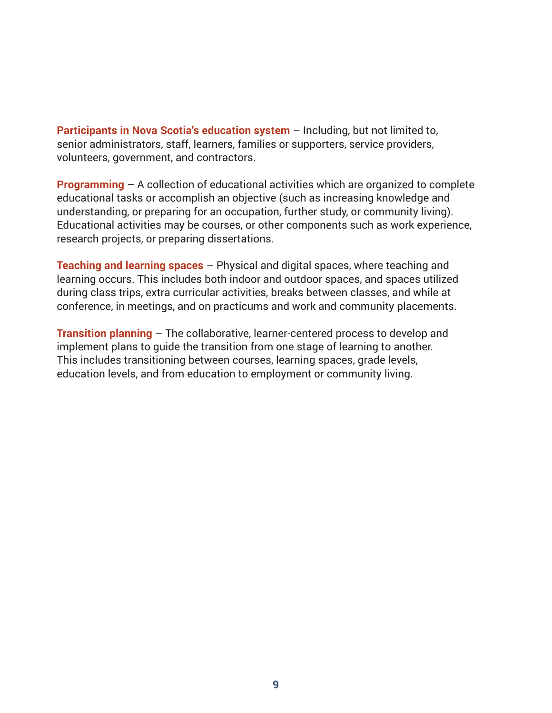**Participants in Nova Scotia's education system** – Including, but not limited to, senior administrators, staff, learners, families or supporters, service providers, volunteers, government, and contractors.

**Programming** – A collection of educational activities which are organized to complete educational tasks or accomplish an objective (such as increasing knowledge and understanding, or preparing for an occupation, further study, or community living). Educational activities may be courses, or other components such as work experience, research projects, or preparing dissertations.

**Teaching and learning spaces** – Physical and digital spaces, where teaching and learning occurs. This includes both indoor and outdoor spaces, and spaces utilized during class trips, extra curricular activities, breaks between classes, and while at conference, in meetings, and on practicums and work and community placements.

**Transition planning** – The collaborative, learner-centered process to develop and implement plans to guide the transition from one stage of learning to another. This includes transitioning between courses, learning spaces, grade levels, education levels, and from education to employment or community living.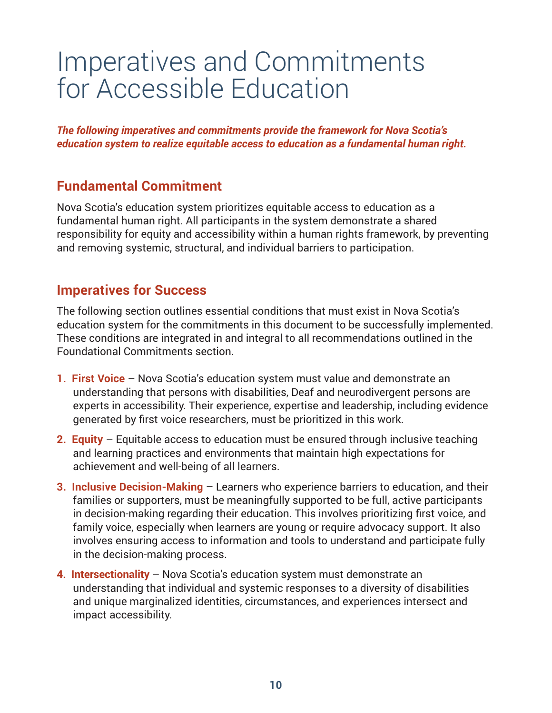## Imperatives and Commitments for Accessible Education

*The following imperatives and commitments provide the framework for Nova Scotia's education system to realize equitable access to education as a fundamental human right.*

## **Fundamental Commitment**

Nova Scotia's education system prioritizes equitable access to education as a fundamental human right. All participants in the system demonstrate a shared responsibility for equity and accessibility within a human rights framework, by preventing and removing systemic, structural, and individual barriers to participation.

### **Imperatives for Success**

The following section outlines essential conditions that must exist in Nova Scotia's education system for the commitments in this document to be successfully implemented. These conditions are integrated in and integral to all recommendations outlined in the Foundational Commitments section.

- **1. First Voice** Nova Scotia's education system must value and demonstrate an understanding that persons with disabilities, Deaf and neurodivergent persons are experts in accessibility. Their experience, expertise and leadership, including evidence generated by first voice researchers, must be prioritized in this work.
- **2. Equity** Equitable access to education must be ensured through inclusive teaching and learning practices and environments that maintain high expectations for achievement and well-being of all learners.
- **3. Inclusive Decision-Making** Learners who experience barriers to education, and their families or supporters, must be meaningfully supported to be full, active participants in decision-making regarding their education. This involves prioritizing first voice, and family voice, especially when learners are young or require advocacy support. It also involves ensuring access to information and tools to understand and participate fully in the decision-making process.
- **4. Intersectionality** Nova Scotia's education system must demonstrate an understanding that individual and systemic responses to a diversity of disabilities and unique marginalized identities, circumstances, and experiences intersect and impact accessibility.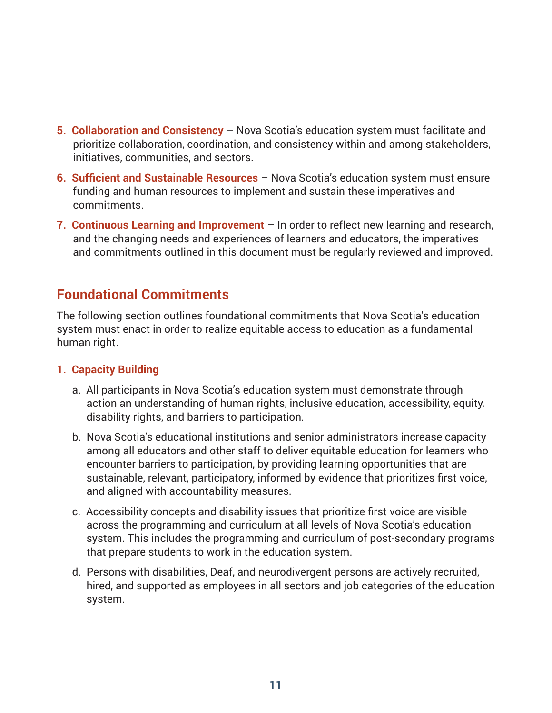- **5. Collaboration and Consistency** Nova Scotia's education system must facilitate and prioritize collaboration, coordination, and consistency within and among stakeholders, initiatives, communities, and sectors.
- **6. Sufficient and Sustainable Resources** Nova Scotia's education system must ensure funding and human resources to implement and sustain these imperatives and commitments.
- **7. Continuous Learning and Improvement** In order to reflect new learning and research, and the changing needs and experiences of learners and educators, the imperatives and commitments outlined in this document must be regularly reviewed and improved.

## **Foundational Commitments**

The following section outlines foundational commitments that Nova Scotia's education system must enact in order to realize equitable access to education as a fundamental human right.

#### **1. Capacity Building**

- a. All participants in Nova Scotia's education system must demonstrate through action an understanding of human rights, inclusive education, accessibility, equity, disability rights, and barriers to participation.
- b. Nova Scotia's educational institutions and senior administrators increase capacity among all educators and other staff to deliver equitable education for learners who encounter barriers to participation, by providing learning opportunities that are sustainable, relevant, participatory, informed by evidence that prioritizes first voice, and aligned with accountability measures.
- c. Accessibility concepts and disability issues that prioritize first voice are visible across the programming and curriculum at all levels of Nova Scotia's education system. This includes the programming and curriculum of post-secondary programs that prepare students to work in the education system.
- d. Persons with disabilities, Deaf, and neurodivergent persons are actively recruited, hired, and supported as employees in all sectors and job categories of the education system.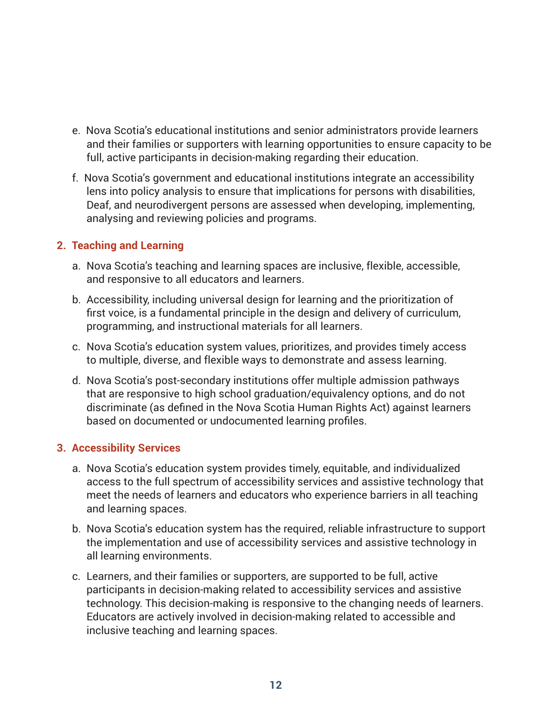- e. Nova Scotia's educational institutions and senior administrators provide learners and their families or supporters with learning opportunities to ensure capacity to be full, active participants in decision-making regarding their education.
- f. Nova Scotia's government and educational institutions integrate an accessibility lens into policy analysis to ensure that implications for persons with disabilities, Deaf, and neurodivergent persons are assessed when developing, implementing, analysing and reviewing policies and programs.

#### **2. Teaching and Learning**

- a. Nova Scotia's teaching and learning spaces are inclusive, flexible, accessible, and responsive to all educators and learners.
- b. Accessibility, including universal design for learning and the prioritization of first voice, is a fundamental principle in the design and delivery of curriculum, programming, and instructional materials for all learners.
- c. Nova Scotia's education system values, prioritizes, and provides timely access to multiple, diverse, and flexible ways to demonstrate and assess learning.
- d. Nova Scotia's post-secondary institutions offer multiple admission pathways that are responsive to high school graduation/equivalency options, and do not discriminate (as defined in the Nova Scotia Human Rights Act) against learners based on documented or undocumented learning profiles.

#### **3. Accessibility Services**

- a. Nova Scotia's education system provides timely, equitable, and individualized access to the full spectrum of accessibility services and assistive technology that meet the needs of learners and educators who experience barriers in all teaching and learning spaces.
- b. Nova Scotia's education system has the required, reliable infrastructure to support the implementation and use of accessibility services and assistive technology in all learning environments.
- c. Learners, and their families or supporters, are supported to be full, active participants in decision-making related to accessibility services and assistive technology. This decision-making is responsive to the changing needs of learners. Educators are actively involved in decision-making related to accessible and inclusive teaching and learning spaces.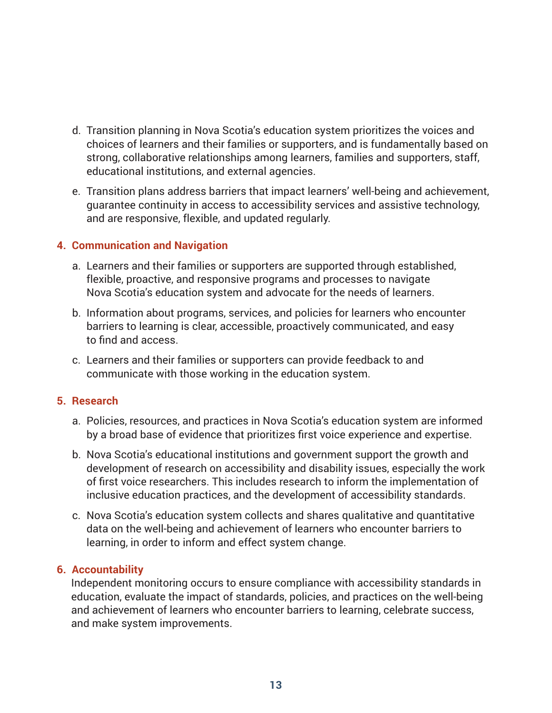- d. Transition planning in Nova Scotia's education system prioritizes the voices and choices of learners and their families or supporters, and is fundamentally based on strong, collaborative relationships among learners, families and supporters, staff, educational institutions, and external agencies.
- e. Transition plans address barriers that impact learners' well-being and achievement, guarantee continuity in access to accessibility services and assistive technology, and are responsive, flexible, and updated regularly.

#### **4. Communication and Navigation**

- a. Learners and their families or supporters are supported through established, flexible, proactive, and responsive programs and processes to navigate Nova Scotia's education system and advocate for the needs of learners.
- b. Information about programs, services, and policies for learners who encounter barriers to learning is clear, accessible, proactively communicated, and easy to find and access.
- c. Learners and their families or supporters can provide feedback to and communicate with those working in the education system.

#### **5. Research**

- a. Policies, resources, and practices in Nova Scotia's education system are informed by a broad base of evidence that prioritizes first voice experience and expertise.
- b. Nova Scotia's educational institutions and government support the growth and development of research on accessibility and disability issues, especially the work of first voice researchers. This includes research to inform the implementation of inclusive education practices, and the development of accessibility standards.
- c. Nova Scotia's education system collects and shares qualitative and quantitative data on the well-being and achievement of learners who encounter barriers to learning, in order to inform and effect system change.

#### **6. Accountability**

Independent monitoring occurs to ensure compliance with accessibility standards in education, evaluate the impact of standards, policies, and practices on the well-being and achievement of learners who encounter barriers to learning, celebrate success, and make system improvements.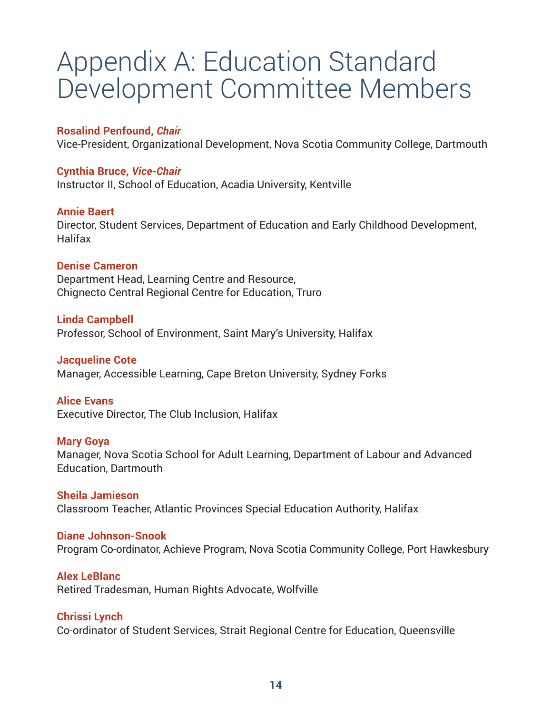## Appendix A: Education Standard Development Committee Members

#### **Rosalind Penfound,** *Chair*

Vice-President, Organizational Development, Nova Scotia Community College, Dartmouth

#### **Cynthia Bruce,** *Vice-Chair*

Instructor II, School of Education, Acadia University, Kentville

#### **Annie Baert**

Director, Student Services, Department of Education and Early Childhood Development, **Halifax** 

#### **Denise Cameron**

Department Head, Learning Centre and Resource, Chignecto Central Regional Centre for Education, Truro

#### **Linda Campbell**

Professor, School of Environment, Saint Mary's University, Halifax

#### **Jacqueline Cote**

Manager, Accessible Learning, Cape Breton University, Sydney Forks

#### **Alice Evans**

Executive Director, The Club Inclusion, Halifax

#### **Mary Goya**

Manager, Nova Scotia School for Adult Learning, Department of Labour and Advanced Education, Dartmouth

**Sheila Jamieson** Classroom Teacher, Atlantic Provinces Special Education Authority, Halifax

#### **Diane Johnson-Snook**

Program Co-ordinator, Achieve Program, Nova Scotia Community College, Port Hawkesbury

#### **Alex LeBlanc**

Retired Tradesman, Human Rights Advocate, Wolfville

#### **Chrissi Lynch**

Co-ordinator of Student Services, Strait Regional Centre for Education, Queensville